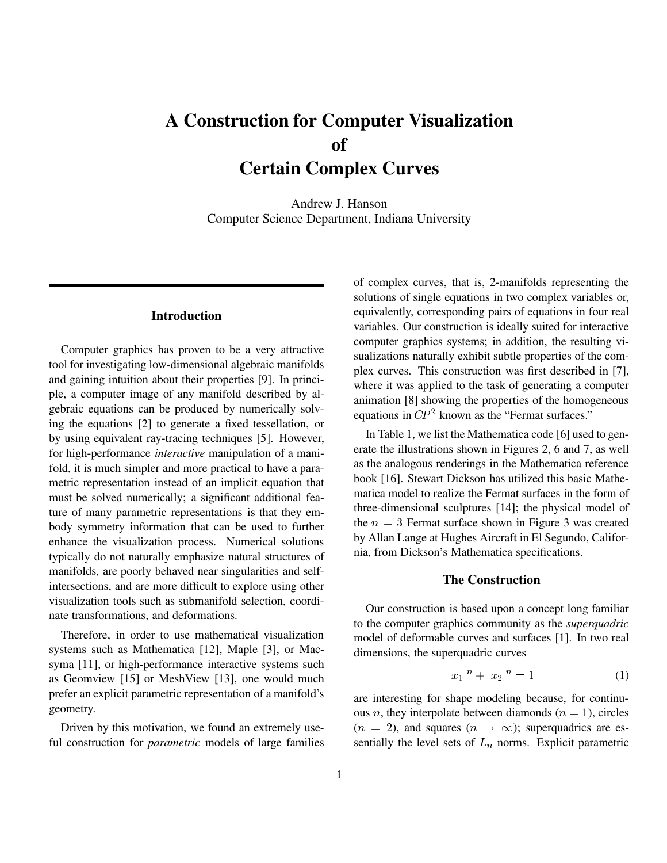# **A Construction for Computer Visualization of Certain Complex Curves**

Andrew J. Hanson Computer Science Department, Indiana University

### **Introduction**

Computer graphics has proven to be a very attractive tool for investigating low-dimensional algebraic manifolds and gaining intuition about their properties [9]. In principle, a computer image of any manifold described by algebraic equations can be produced by numerically solving the equations [2] to generate a fixed tessellation, or by using equivalent ray-tracing techniques [5]. However, for high-performance *interactive* manipulation of a manifold, it is much simpler and more practical to have a parametric representation instead of an implicit equation that must be solved numerically; a significant additional feature of many parametric representations is that they embody symmetry information that can be used to further enhance the visualization process. Numerical solutions typically do not naturally emphasize natural structures of manifolds, are poorly behaved near singularities and selfintersections, and are more difficult to explore using other visualization tools such as submanifold selection, coordinate transformations, and deformations.

Therefore, in order to use mathematical visualization systems such as Mathematica [12], Maple [3], or Macsyma [11], or high-performance interactive systems such as Geomview [15] or MeshView [13], one would much prefer an explicit parametric representation of a manifold's geometry.

Driven by this motivation, we found an extremely useful construction for *parametric* models of large families of complex curves, that is, 2-manifolds representing the solutions of single equations in two complex variables or, equivalently, corresponding pairs of equations in four real variables. Our construction is ideally suited for interactive computer graphics systems; in addition, the resulting visualizations naturally exhibit subtle properties of the complex curves. This construction was first described in [7], where it was applied to the task of generating a computer animation [8] showing the properties of the homogeneous equations in  $\mathbb{CP}^2$  known as the "Fermat surfaces."

In Table 1, we list the Mathematica code [6] used to generate the illustrations shown in Figures 2, 6 and 7, as well as the analogous renderings in the Mathematica reference book [16]. Stewart Dickson has utilized this basic Mathematica model to realize the Fermat surfaces in the form of three-dimensional sculptures [14]; the physical model of the  $n = 3$  Fermat surface shown in Figure 3 was created by Allan Lange at Hughes Aircraft in El Segundo, California, from Dickson's Mathematica specifications.

#### **The Construction**

Our construction is based upon a concept long familiar to the computer graphics community as the *superquadric* model of deformable curves and surfaces [1]. In two real dimensions, the superquadric curves

$$
|x_1|^n + |x_2|^n = 1 \tag{1}
$$

are interesting for shape modeling because, for continuous *n*, they interpolate between diamonds ( $n = 1$ ), circles  $(n = 2)$ , and squares  $(n \rightarrow \infty)$ ; superquadrics are essentially the level sets of  $L_n$  norms. Explicit parametric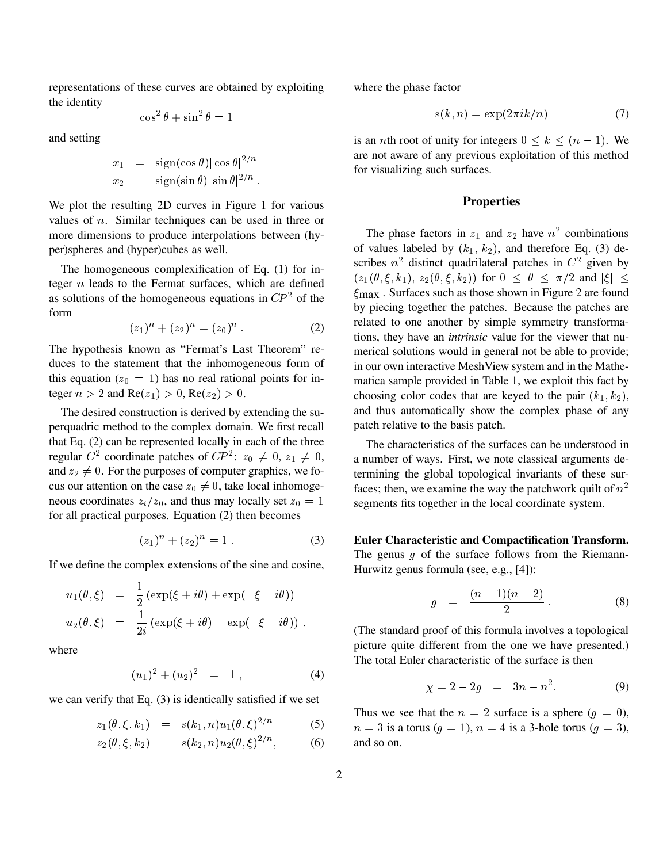representations of these curves are obtained by exploiting the identity

$$
\cos^2\theta + \sin^2\theta = 1
$$

and setting

$$
x_1 = \frac{\text{sign}(\cos \theta)|\cos \theta|^{2/n}}{x_2 = \frac{\text{sign}(\sin \theta)|\sin \theta|^{2/n}}{2}}.
$$

We plot the resulting 2D curves in Figure 1 for various values of <sup>n</sup>. Similar techniques can be used in three or more dimensions to produce interpolations between (hyper)spheres and (hyper)cubes as well.

The homogeneous complexification of Eq. (1) for integer  $n$  leads to the Fermat surfaces, which are defined as solutions of the homogeneous equations in  $\mathbb{CP}^2$  of the form

$$
(z_1)^n + (z_2)^n = (z_0)^n . \tag{2}
$$

The hypothesis known as "Fermat's Last Theorem" reduces to the statement that the inhomogeneous form of this equation ( $z_0 = 1$ ) has no real rational points for integer  $n > 2$  and  $Re(z_1) > 0$ ,  $Re(z_2) > 0$ .

The desired construction is derived by extending the superquadric method to the complex domain. We first recall that Eq. (2) can be represented locally in each of the three regular C<sup>2</sup> coordinate patches of CP<sup>2</sup>:  $z_0 \neq 0$ ,  $z_1 \neq 0$ , a nur and  $z_2 \neq 0$ . For the purposes of computer graphics, we focus our attention on the case  $z_0 \neq 0$ , take local inhomogeneous coordinates  $z_i/z_0$ , and thus may locally set  $z_0 = 1$ for all practical purposes. Equation (2) then becomes

$$
(z_1)^n + (z_2)^n = 1.
$$
 (3)

If we define the complex extensions of the sine and cosine,

$$
u_1(\theta,\xi) = \frac{1}{2} (\exp(\xi + i\theta) + \exp(-\xi - i\theta))
$$
  

$$
u_2(\theta,\xi) = \frac{1}{2i} (\exp(\xi + i\theta) - \exp(-\xi - i\theta)),
$$

where

$$
(u_1)^2 + (u_2)^2 = 1, \t\t(4)
$$

we can verify that Eq. (3) is identically satisfied if we set

$$
z_1(\theta, \xi, k_1) = s(k_1, n)u_1(\theta, \xi)^{2/n} \tag{5}
$$

$$
z_2(\theta, \xi, k_2) = s(k_2, n) u_2(\theta, \xi)^{2/n}, \quad (6)
$$

where the phase factor

$$
s(k, n) = \exp(2\pi i k/n) \tag{7}
$$

is an *n*th root of unity for integers  $0 \le k \le (n - 1)$ . We are not aware of any previous exploitation of this method for visualizing such surfaces.

#### **Properties**

The phase factors in  $z_1$  and  $z_2$  have  $n^2$  combinations of values labeled by  $(k_1, k_2)$ , and therefore Eq. (3) describes  $n^2$  distinct quadrilateral patches in  $C^2$  given by  $(z_1 (\theta, \xi, k_1), z_2 (\theta, \xi, k_2))$  for  $0 \leq \theta \leq \pi/2$  and  $|\xi| \leq$  $\xi_{\text{max}}$ . Surfaces such as those shown in Figure 2 are found by piecing together the patches. Because the patches are related to one another by simple symmetry transformations, they have an *intrinsic* value for the viewer that numerical solutions would in general not be able to provide; in our own interactive MeshView system and in the Mathematica sample provided in Table 1, we exploit this fact by choosing color codes that are keyed to the pair  $(k_1, k_2)$ , and thus automatically show the complex phase of any patch relative to the basis patch.

The characteristics of the surfaces can be understood in a number of ways. First, we note classical arguments determining the global topological invariants of these surfaces; then, we examine the way the patchwork quilt of  $n^2$ segments fits together in the local coordinate system.

**Euler Characteristic and Compactification Transform.** The genus  $q$  of the surface follows from the Riemann-Hurwitz genus formula (see, e.g., [4]):

$$
g = \frac{(n-1)(n-2)}{2} \,. \tag{8}
$$

(The standard proof of this formula involves a topological picture quite different from the one we have presented.) The total Euler characteristic of the surface is then

$$
\chi = 2 - 2g = 3n - n^2. \tag{9}
$$

Thus we see that the  $n = 2$  surface is a sphere  $(q = 0)$ ,  $n = 3$  is a torus  $(g = 1)$ ,  $n = 4$  is a 3-hole torus  $(g = 3)$ , and so on.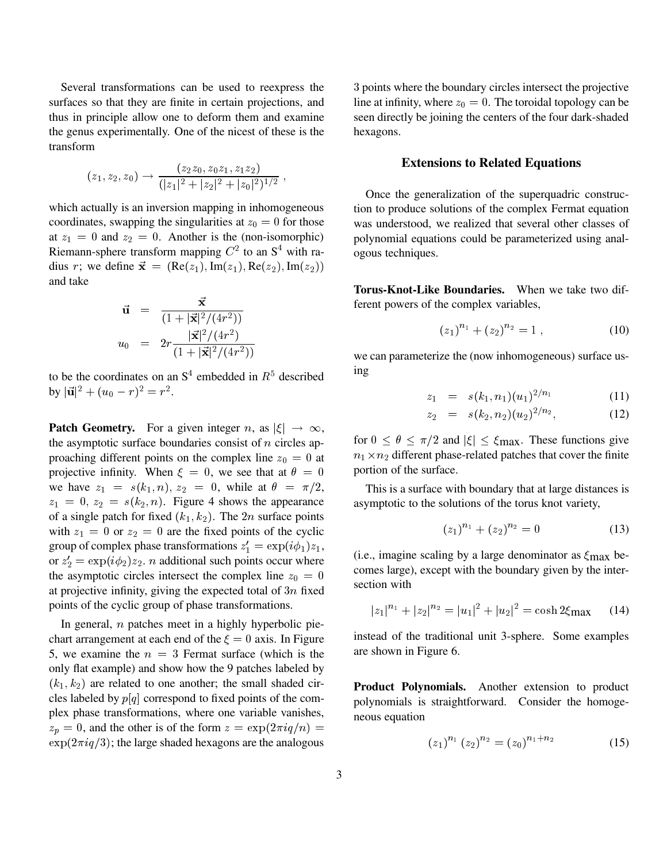Several transformations can be used to reexpress the surfaces so that they are finite in certain projections, and thus in principle allow one to deform them and examine the genus experimentally. One of the nicest of these is the transform

$$
(z_1, z_2, z_0) \rightarrow \frac{(z_2z_0, z_0z_1, z_1z_2)}{(|z_1|^2 + |z_2|^2 + |z_0|^2)^{1/2}},
$$

which actually is an inversion mapping in inhomogeneous coordinates, swapping the singularities at  $z_0 = 0$  for those at  $z_1 = 0$  and  $z_2 = 0$ . Another is the (non-isomorphic) Riemann-sphere transform mapping  $C^2$  to an  $S^4$  with radius r; we define  $\vec{\mathbf{x}} = (\text{Re}(z_1), \text{Im}(z_1), \text{Re}(z_2), \text{Im}(z_2))$ and take

$$
\vec{u} = \frac{\vec{x}}{(1+|\vec{x}|^2/(4r^2))}
$$
  

$$
u_0 = 2r \frac{|\vec{x}|^2/(4r^2)}{(1+|\vec{x}|^2/(4r^2))}
$$

to be the coordinates on an  $S<sup>4</sup>$  embedded in  $R<sup>5</sup>$  described by  $|\vec{u}|^2 + (u_0 - r)^2 = r^2$ .

**Patch Geometry.** For a given integer n, as  $|\xi| \to \infty$ , the asymptotic surface boundaries consist of  $n$  circles approaching different points on the complex line  $z_0 = 0$  at projective infinity. When  $\xi = 0$ , we see that at  $\theta = 0$ we have  $z_1 = s(k_1, n)$ ,  $z_2 = 0$ , while at  $\theta = \pi/2$ ,  $z_1 = 0, z_2 = s(k_2, n)$ . Figure 4 shows the appearance of a single patch for fixed  $(k_1, k_2)$ . The 2n surface points with  $z_1 = 0$  or  $z_2 = 0$  are the fixed points of the cyclic group of complex phase transformations  $z'_1 = \exp(i\phi_1)z_1$ , or  $z_2' = \exp(i\phi_2)z_2$ . *n* additional such points occur where the asymptotic circles intersect the complex line  $z_0 = 0$ at projective infinity, giving the expected total of  $3n$  fixed points of the cyclic group of phase transformations.

In general,  $n$  patches meet in a highly hyperbolic piechart arrangement at each end of the  $\xi = 0$  axis. In Figure 5, we examine the  $n = 3$  Fermat surface (which is the only flat example) and show how the 9 patches labeled by  $(k_1, k_2)$  are related to one another; the small shaded circles labeled by  $p[q]$  correspond to fixed points of the complex phase transformations, where one variable vanishes,  $z_p = 0$ , and the other is of the form  $z = \exp(2\pi i q/n) =$  $\exp(2\pi i q/3)$ ; the large shaded hexagons are the analogous

3 points where the boundary circles intersect the projective line at infinity, where  $z_0 = 0$ . The toroidal topology can be seen directly be joining the centers of the four dark-shaded hexagons.

#### **Extensions to Related Equations**

Once the generalization of the superquadric construction to produce solutions of the complex Fermat equation was understood, we realized that several other classes of polynomial equations could be parameterized using analogous techniques.

**Torus-Knot-Like Boundaries.** When we take two different powers of the complex variables,

$$
(z_1)^{n_1} + (z_2)^{n_2} = 1 , \t\t(10)
$$

we can parameterize the (now inhomogeneous) surface using

$$
z_1 = s(k_1, n_1)(u_1)^{2/n_1} \tag{11}
$$

$$
z_2 = s(k_2, n_2)(u_2)^{2/n_2}, \tag{12}
$$

for  $0 \le \theta \le \pi/2$  and  $|\xi| \le \xi_{\text{max}}$ . These functions give  $n_1 \times n_2$  different phase-related patches that cover the finite portion of the surface.

This is a surface with boundary that at large distances is asymptotic to the solutions of the torus knot variety,

$$
(z_1)^{n_1} + (z_2)^{n_2} = 0 \tag{13}
$$

(i.e., imagine scaling by a large denominator as  $\xi_{\text{max}}$  becomes large), except with the boundary given by the intersection with

$$
|z_1|^{n_1} + |z_2|^{n_2} = |u_1|^2 + |u_2|^2 = \cosh 2\xi_{\text{max}} \qquad (14)
$$

instead of the traditional unit 3-sphere. Some examples are shown in Figure 6.

**Product Polynomials.** Another extension to product polynomials is straightforward. Consider the homogeneous equation

$$
(z_1)^{n_1} (z_2)^{n_2} = (z_0)^{n_1 + n_2} \tag{15}
$$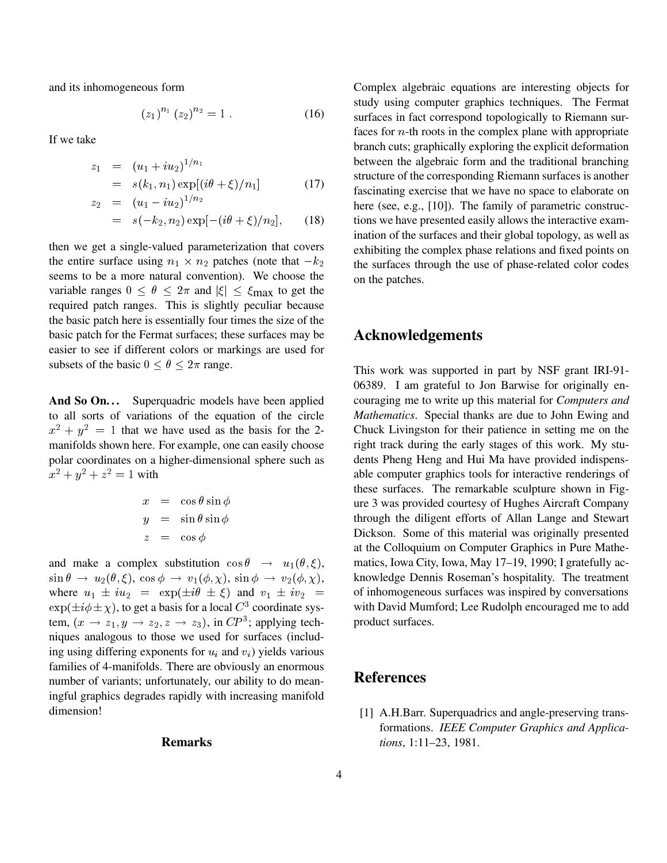and its inhomogeneous form

$$
(z_1)^{n_1} (z_2)^{n_2} = 1.
$$
 (16)

If we take

$$
z_1 = (u_1 + iu_2)^{1/n_1}
$$
  
=  $s(k_1, n_1) \exp[(i\theta + \xi)/n_1]$  (17)

$$
z_2 = (u_1 - i u_2)^{1/2}
$$
  
=  $s(-k_2, n_2) \exp[-(i\theta + \xi)/n_2],$  (18)

then we get a single-valued parameterization that covers the entire surface using  $n_1 \times n_2$  patches (note that  $-k_2$ seems to be a more natural convention). We choose the variable ranges  $0 \le \theta \le 2\pi$  and  $|\xi| \le \xi_{\text{max}}$  to get the required patch ranges. This is slightly peculiar because the basic patch here is essentially four times the size of the basic patch for the Fermat surfaces; these surfaces may be easier to see if different colors or markings are used for subsets of the basic  $0 \le \theta \le 2\pi$  range.

And So On... Superquadric models have been applied to all sorts of variations of the equation of the circle  $x^2 + y^2 = 1$  that we have used as the basis for the 2manifolds shown here. For example, one can easily choose polar coordinates on a higher-dimensional sphere such as  $x^2 + y^2 + z^2 = 1$  with

$$
x = \cos \theta \sin \phi
$$
  
\n
$$
y = \sin \theta \sin \phi
$$
  
\n
$$
z = \cos \phi
$$

and make a complex substitution  $\cos \theta \rightarrow u_1(\theta, \xi),$  $\sin \theta \, \rightarrow \, u_2(\theta, \xi), \, \cos \phi \, \rightarrow \, v_1(\phi, \chi), \, \sin \phi \, \rightarrow \, v_2(\phi, \chi), \qquad \, {\rm kr}$ where  $u_1 \pm i u_2 = \exp(\pm i \theta \pm \xi)$  and  $v_1 \pm i v_2 =$  $\exp(\pm i\phi \pm \chi)$ , to get a basis for a local  $C^3$  coordinate system,  $(x \rightarrow z_1, y \rightarrow z_2, z \rightarrow z_3)$ , in  $CP^3$ ; applying techniques analogous to those we used for surfaces (including using differing exponents for  $u_i$  and  $v_i$ ) yields various families of 4-manifolds. There are obviously an enormous number of variants; unfortunately, our ability to do meaningful graphics degrades rapidly with increasing manifold dimension!

#### **Remarks**

Complex algebraic equations are interesting objects for study using computer graphics techniques. The Fermat surfaces in fact correspond topologically to Riemann surfaces for  $n$ -th roots in the complex plane with appropriate branch cuts; graphically exploring the explicit deformation between the algebraic form and the traditional branching structure of the corresponding Riemann surfaces is another fascinating exercise that we have no space to elaborate on here (see, e.g., [10]). The family of parametric constructions we have presented easily allows the interactive examination of the surfaces and their global topology, as well as exhibiting the complex phase relations and fixed points on the surfaces through the use of phase-related color codes on the patches.

## **Acknowledgements**

This work was supported in part by NSF grant IRI-91- 06389. I am grateful to Jon Barwise for originally encouraging me to write up this material for *Computers and Mathematics*. Special thanks are due to John Ewing and Chuck Livingston for their patience in setting me on the right track during the early stages of this work. My students Pheng Heng and Hui Ma have provided indispensable computer graphics tools for interactive renderings of these surfaces. The remarkable sculpture shown in Figure 3 was provided courtesy of Hughes Aircraft Company through the diligent efforts of Allan Lange and Stewart Dickson. Some of this material was originally presented at the Colloquium on Computer Graphics in Pure Mathematics, Iowa City, Iowa, May 17–19, 1990; I gratefully acknowledge Dennis Roseman's hospitality. The treatment of inhomogeneous surfaces was inspired by conversations with David Mumford; Lee Rudolph encouraged me to add product surfaces.

## **References**

[1] A.H.Barr. Superquadrics and angle-preserving transformations. *IEEE Computer Graphics and Applications*, 1:11–23, 1981.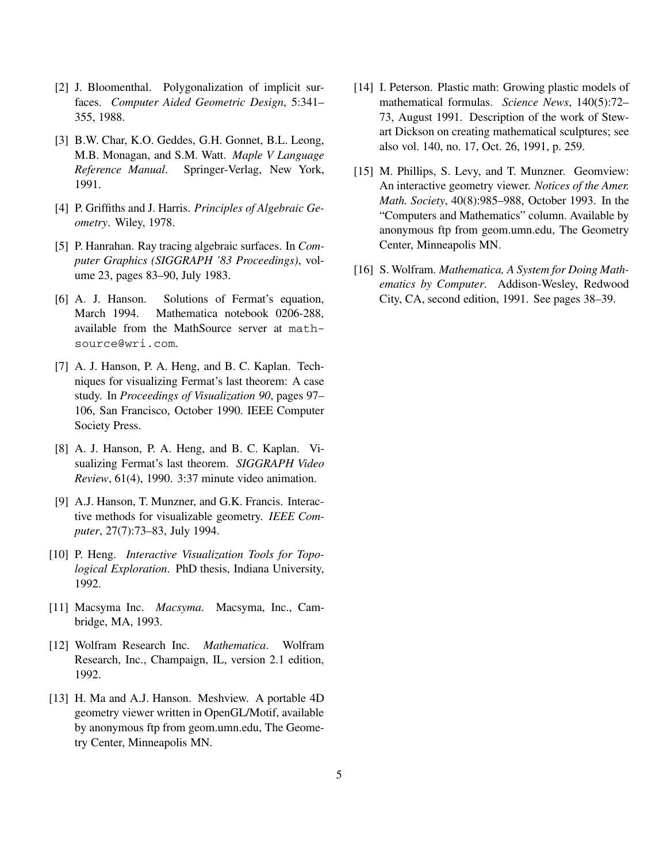- [2] J. Bloomenthal. Polygonalization of implicit surfaces. *Computer Aided Geometric Design*, 5:341– 355, 1988.
- [3] B.W. Char, K.O. Geddes, G.H. Gonnet, B.L. Leong, M.B. Monagan, and S.M. Watt. *Maple V Language Reference Manual*. Springer-Verlag, New York, 1991.
- [4] P. Griffiths and J. Harris. *Principles of Algebraic Geometry*. Wiley, 1978.
- [5] P. Hanrahan. Ray tracing algebraic surfaces. In *Computer Graphics (SIGGRAPH '83 Proceedings)*, volume 23, pages 83–90, July 1983.
- [6] A. J. Hanson. Solutions of Fermat's equation, March 1994. Mathematica notebook 0206-288, available from the MathSource server at mathsource@wri.com.
- [7] A. J. Hanson, P. A. Heng, and B. C. Kaplan. Techniques for visualizing Fermat's last theorem: A case study. In *Proceedings of Visualization 90*, pages 97– 106, San Francisco, October 1990. IEEE Computer Society Press.
- [8] A. J. Hanson, P. A. Heng, and B. C. Kaplan. Visualizing Fermat's last theorem. *SIGGRAPH Video Review*, 61(4), 1990. 3:37 minute video animation.
- [9] A.J. Hanson, T. Munzner, and G.K. Francis. Interactive methods for visualizable geometry. *IEEE Computer*, 27(7):73–83, July 1994.
- [10] P. Heng. *Interactive Visualization Tools for Topological Exploration*. PhD thesis, Indiana University, 1992.
- [11] Macsyma Inc. *Macsyma*. Macsyma, Inc., Cambridge, MA, 1993.
- [12] Wolfram Research Inc. *Mathematica*. Wolfram Research, Inc., Champaign, IL, version 2.1 edition, 1992.
- [13] H. Ma and A.J. Hanson. Meshview. A portable 4D geometry viewer written in OpenGL/Motif, available by anonymous ftp from geom.umn.edu, The Geometry Center, Minneapolis MN.
- [14] I. Peterson. Plastic math: Growing plastic models of mathematical formulas. *Science News*, 140(5):72– 73, August 1991. Description of the work of Stewart Dickson on creating mathematical sculptures; see also vol. 140, no. 17, Oct. 26, 1991, p. 259.
- [15] M. Phillips, S. Levy, and T. Munzner. Geomview: An interactive geometry viewer. *Notices of the Amer. Math. Society*, 40(8):985–988, October 1993. In the "Computers and Mathematics" column. Available by anonymous ftp from geom.umn.edu, The Geometry Center, Minneapolis MN.
- [16] S. Wolfram. *Mathematica, A System for Doing Mathematics by Computer*. Addison-Wesley, Redwood City, CA, second edition, 1991. See pages 38–39.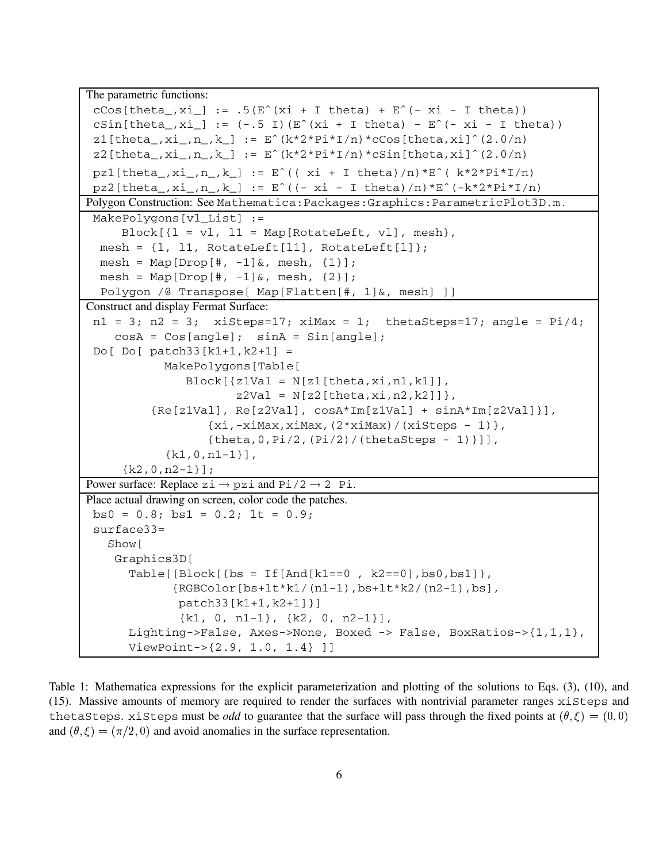```
The parametric functions:
 cCos[theta_-,xi_-] := .5(E^*(xi + I theta) + E^*(-xi - I theta))cSin[theta_-,x_i] := (-.5 \ I) (E^(xi + I theta) - E^(-xi - I theta))z1[theta<sub>r</sub>xi<sub>,n,k</sub>] := Eˆ(k*2*Pi*I/n)*cCos[theta,xi]ˆ(2.0/n)
 z2[theta_,xi_,n_,k_] := E^{(k*2*pi*1/n) * cSin[theta,xi]^{(2.0/n)}pz1[theta_a, xi_-,n_-,k_] := E^{\hat{}}((xi + I theta)/n)*E^{\hat{}}(k * 2 * Pi * I/n)pz2[theta_-,xi_-,n_-,k_]: = E^*((-xi - I theta)/n)*E^*(-k*2*Pi*I/n)Polygon Construction: See Mathematica:Packages:Graphics:ParametricPlot3D.m .
 MakePolygons[vl_List] :=
     Block[{1 = v1, 11 = Map[RotateLeft, v1], mesh},mesh = \{1, 11, \text{RotateLeft}[11], \text{RotateLeft}[1]\};mesh = Map[Drop[#, -1]&, mesh, {1}];
  mesh = Map[Drop[#, -1]\&, mesh, {2}];
  Polygon /@ Transpose[ Map[Flatten[#, 1]&, mesh] ]]
Construct and display Fermat Surface:
 n1 = 3; n2 = 3; xiSteps=17; xiMax = 1; thetaSteps=17; angle = Pi/4;
    cosA = Cos[angle]; sinA = Sin[angle];Do[ Do[ patch33[k1+1,k2+1] =
            MakePolygons[Table[
               Block[\{z1Val = N[z1[theta,xi,n1,k1]],z2Val = N[z2[theta, xi, n2, k2]],
          {Re[z1Val], Re[z2Val], cosA*Im[z1Val] + sinA*Im[z2Val]}],
                   {x_i, -x_iMax,xiMax,(2*xiMax)/(xiSteps - 1)},
                   {theta, 0, Pi/2, (Pi/2) / (thetaSteps - 1)}{k1,0,n1-1}],
     {k2,0,n2-1}];
Power surface: Replace zi \rightarrow pzi and Pi/2 \rightarrow 2 Pi.
Place actual drawing on screen, color code the patches.
bs0 = 0.8; bs1 = 0.2; lt = 0.9;
 surface33=
   Show[
    Graphics3D[
      Table[[Block[\{bs = If[And[k1 == 0, k2 == 0], bs0, bs1]\},]{RGBColor[bs+lt*k1/(n1-1),bs+lt*k2/(n2-1),bs],
              patch33[k1+1,k2+1]}]
              {k1, 0, n1-1}, {k2, 0, n2-1}],
      Lighting->False, Axes->None, Boxed -> False, BoxRatios->{1,1,1},
      ViewPoint->{2.9, 1.0, 1.4} ]]
```
Table 1: Mathematica expressions for the explicit parameterization and plotting of the solutions to Eqs. (3), (10), and (15). Massive amounts of memory are required to render the surfaces with nontrivial parameter ranges xiSteps and thetaSteps. xiSteps must be *odd* to guarantee that the surface will pass through the fixed points at  $(\theta, \xi) = (0, 0)$ and  $(\theta, \xi) = (\pi/2, 0)$  and avoid anomalies in the surface representation.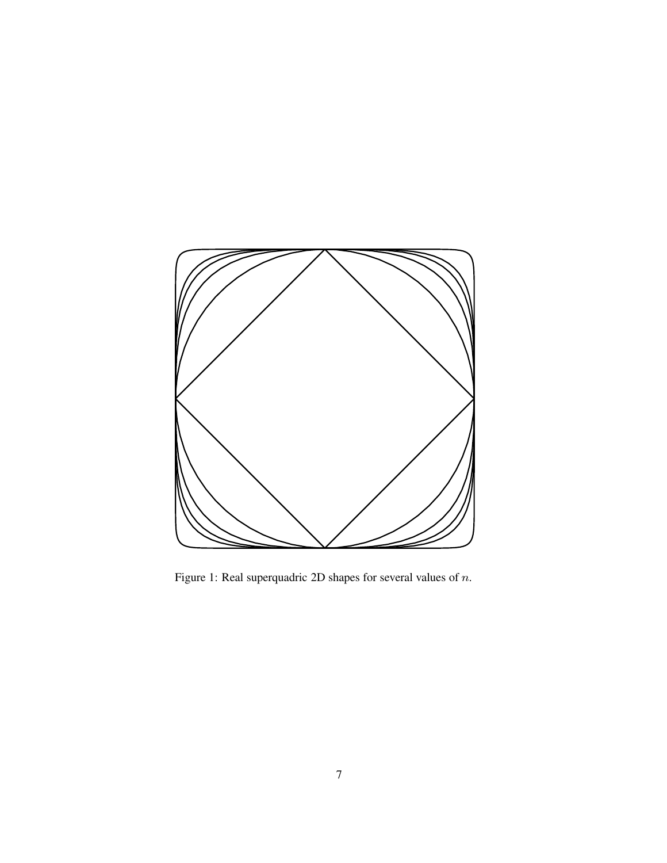

Figure 1: Real superquadric 2D shapes for several values of  $n$ .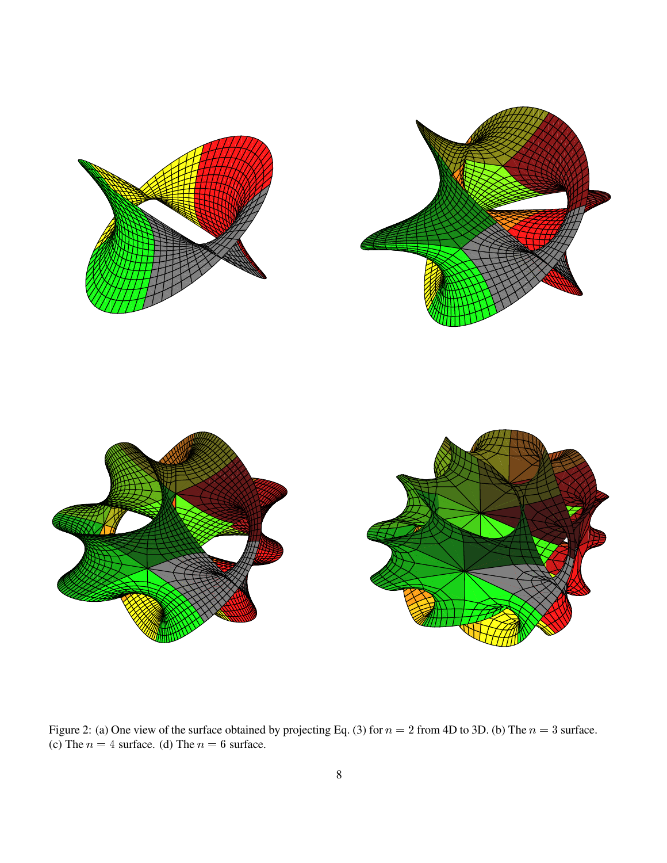

Figure 2: (a) One view of the surface obtained by projecting Eq. (3) for  $n = 2$  from 4D to 3D. (b) The  $n = 3$  surface. (c) The  $n = 4$  surface. (d) The  $n = 6$  surface.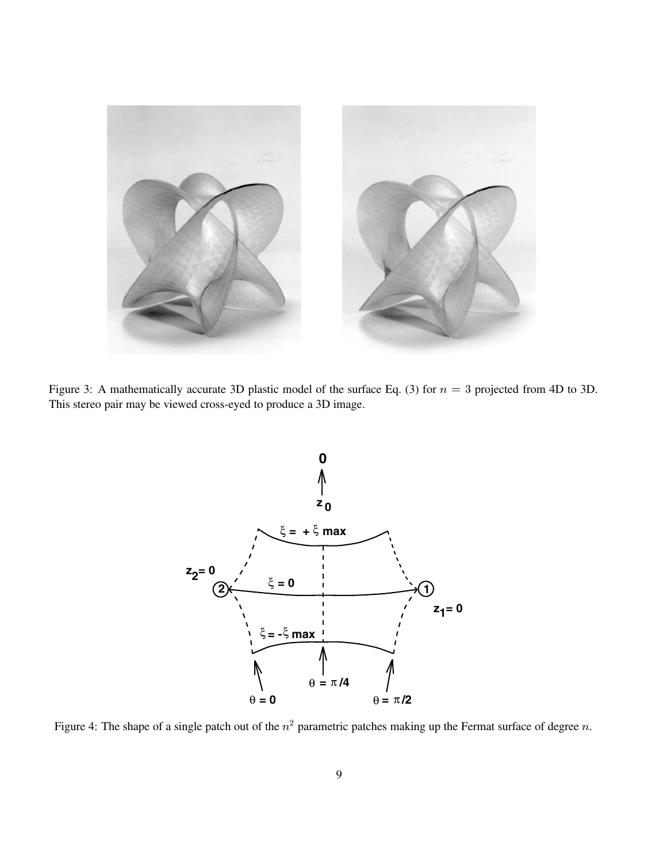

Figure 3: A mathematically accurate 3D plastic model of the surface Eq. (3) for  $n = 3$  projected from 4D to 3D. This stereo pair may be viewed cross-eyed to produce a 3D image.



Figure 4: The shape of a single patch out of the  $n^2$  parametric patches making up the Fermat surface of degree n.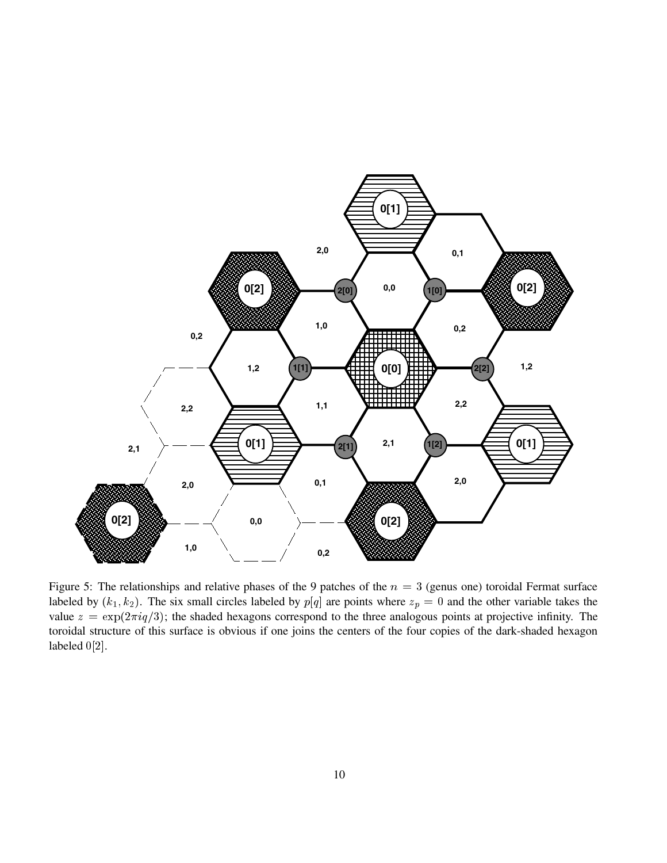

Figure 5: The relationships and relative phases of the 9 patches of the  $n = 3$  (genus one) toroidal Fermat surface labeled by  $(k_1, k_2)$ . The six small circles labeled by  $p[q]$  are points where  $z_p = 0$  and the other variable takes the value  $z = \exp(2\pi i q/3)$ ; the shaded hexagons correspond to the three analogous points at projective infinity. The toroidal structure of this surface is obvious if one joins the centers of the four copies of the dark-shaded hexagon labeled 0[2].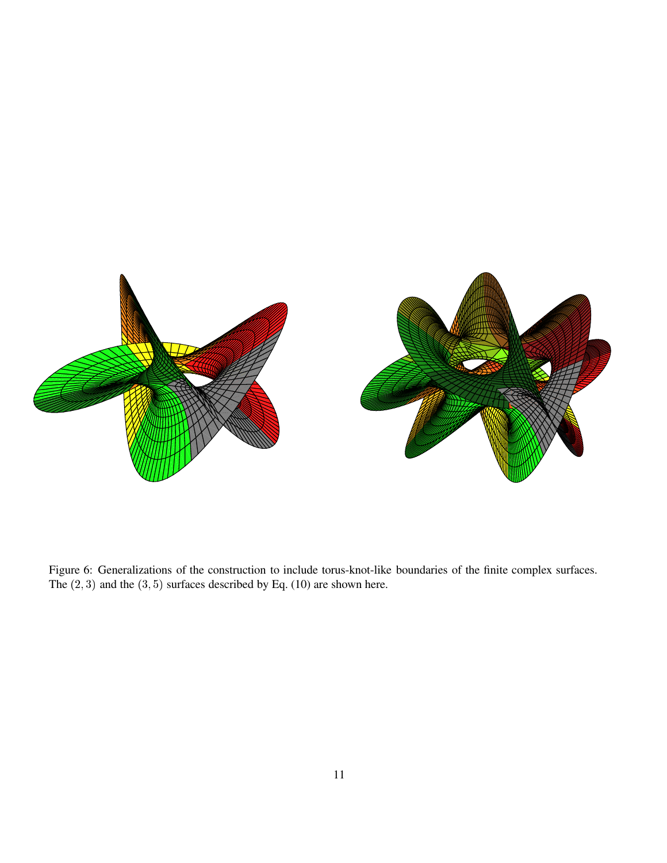

Figure 6: Generalizations of the construction to include torus-knot-like boundaries of the finite complex surfaces. The  $(2, 3)$  and the  $(3, 5)$  surfaces described by Eq. (10) are shown here.